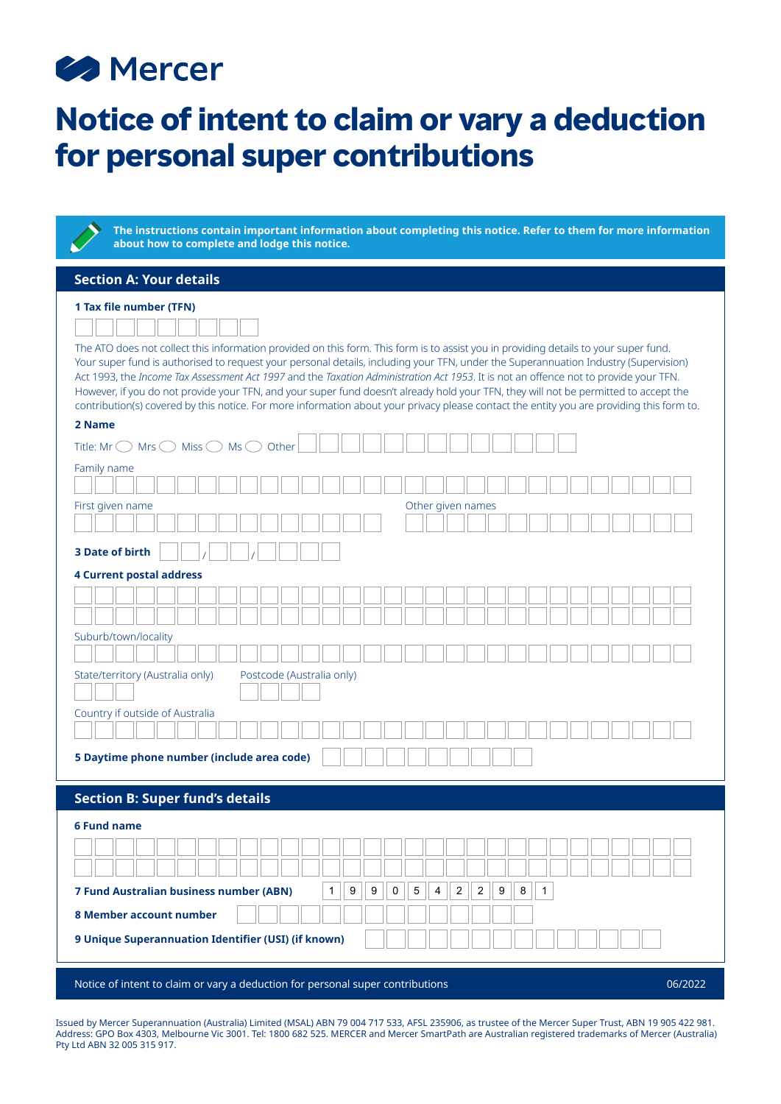# **B** Mercer

## **Notice of intent to claim or vary a deduction for personal super contributions**

**The instructions contain important information about completing this notice. Refer to them for more information about how to complete and lodge this notice.**

### **Section A: Your details**

## **1 Tax file number (TFN)**

The ATO does not collect this information provided on this form. This form is to assist you in providing details to your super fund. Your super fund is authorised to request your personal details, including your TFN, under the Superannuation Industry (Supervision) Act 1993, the *Income Tax Assessment Act 1997* and the *Taxation Administration Act 1953*. It is not an offence not to provide your TFN. However, if you do not provide your TFN, and your super fund doesn't already hold your TFN, they will not be permitted to accept the contribution(s) covered by this notice. For more information about your privacy please contact the entity you are providing this form to.

#### **2 Name**

| Title: Mr $\bigcirc$ Mrs $\bigcirc$ Miss $\bigcirc$ Ms $\bigcirc$ Other                                                                                                                                                  |
|--------------------------------------------------------------------------------------------------------------------------------------------------------------------------------------------------------------------------|
| Family name                                                                                                                                                                                                              |
|                                                                                                                                                                                                                          |
| Other given names<br>First given name                                                                                                                                                                                    |
|                                                                                                                                                                                                                          |
| <b>3 Date of birth</b>                                                                                                                                                                                                   |
| <b>4 Current postal address</b>                                                                                                                                                                                          |
|                                                                                                                                                                                                                          |
|                                                                                                                                                                                                                          |
| Suburb/town/locality                                                                                                                                                                                                     |
|                                                                                                                                                                                                                          |
| Postcode (Australia only)<br>State/territory (Australia only)                                                                                                                                                            |
| Country if outside of Australia                                                                                                                                                                                          |
|                                                                                                                                                                                                                          |
| 5 Daytime phone number (include area code)                                                                                                                                                                               |
|                                                                                                                                                                                                                          |
| <b>Section B: Super fund's details</b>                                                                                                                                                                                   |
| <b>6 Fund name</b>                                                                                                                                                                                                       |
|                                                                                                                                                                                                                          |
|                                                                                                                                                                                                                          |
|                                                                                                                                                                                                                          |
| $\boldsymbol{9}$<br>$\boldsymbol{9}$<br>$\mathsf 0$<br>$\mathbf 5$<br>$\sqrt{2}$<br>$\overline{c}$<br>9<br>$\bf 8$<br>$\mathbf{1}$<br>7 Fund Australian business number (ABN)<br>$\mathbf{1}$<br>$\overline{\mathbf{4}}$ |
| 8 Member account number                                                                                                                                                                                                  |
| 9 Unique Superannuation Identifier (USI) (if known)                                                                                                                                                                      |
|                                                                                                                                                                                                                          |
|                                                                                                                                                                                                                          |

Notice of intent to claim or vary a deduction for personal super contributions 06/2022

Issued by Mercer Superannuation (Australia) Limited (MSAL) ABN 79 004 717 533, AFSL 235906, as trustee of the Mercer Super Trust, ABN 19 905 422 981. Address: GPO Box 4303, Melbourne Vic 3001. Tel: 1800 682 525. MERCER and Mercer SmartPath are Australian registered trademarks of Mercer (Australia) Pty Ltd ABN 32 005 315 917.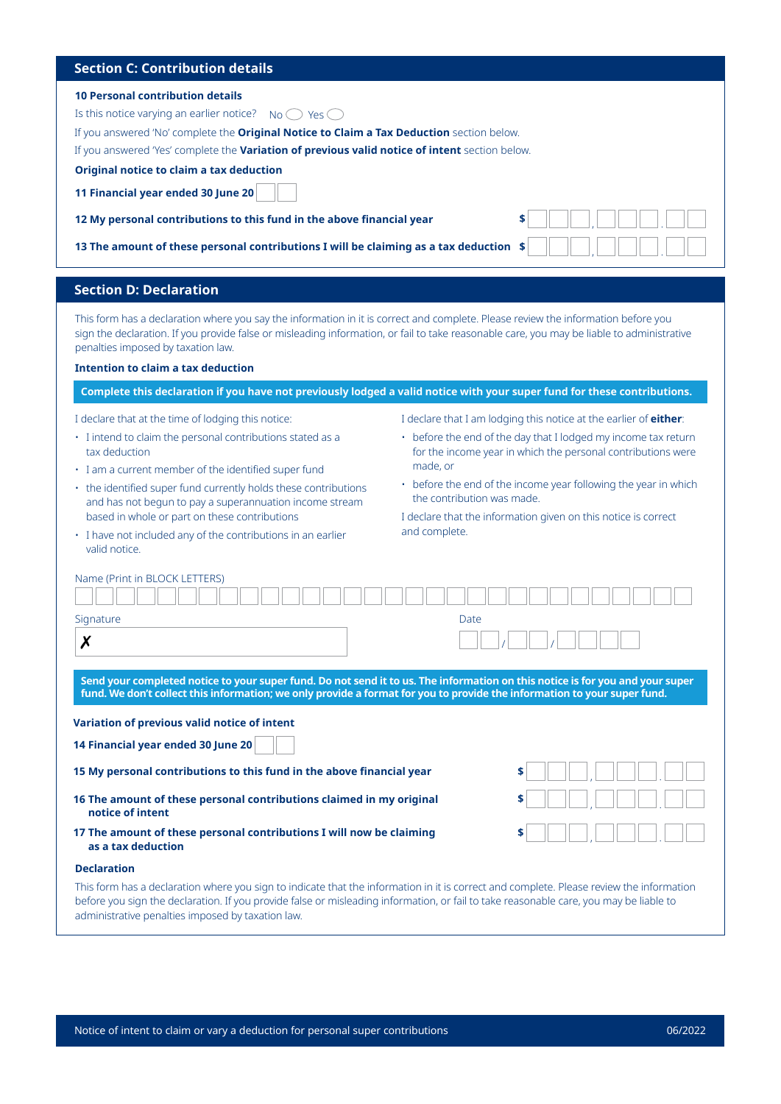## **Section C: Contribution details**

#### **10 Personal contribution details**

Is this notice varying an earlier notice? No  $\bigcirc$  Yes  $\bigcirc$ 

If you answered 'No' complete the **Original Notice to Claim a Tax Deduction** section below.

If you answered 'Yes' complete the **Variation of previous valid notice of intent** section below.

**Original notice to claim a tax deduction**

**11 Financial year ended 30 June 20**

**12 My personal contributions to this fund in the above financial year** 

**13 The amount of these personal contributions I will be claiming as a tax deduction** 

#### **Section D: Declaration**

This form has a declaration where you say the information in it is correct and complete. Please review the information before you sign the declaration. If you provide false or misleading information, or fail to take reasonable care, you may be liable to administrative penalties imposed by taxation law.

#### **Intention to claim a tax deduction**

**Complete this declaration if you have not previously lodged a valid notice with your super fund for these contributions.**

I declare that at the time of lodging this notice:

- I intend to claim the personal contributions stated as a tax deduction
- I am a current member of the identified super fund
- the identified super fund currently holds these contributions and has not begun to pay a superannuation income stream based in whole or part on these contributions
- I have not included any of the contributions in an earlier valid notice.
- I declare that I am lodging this notice at the earlier of **either**:
- before the end of the day that I lodged my income tax return for the income year in which the personal contributions were made, or
- before the end of the income year following the year in which the contribution was made.

I declare that the information given on this notice is correct and complete.

## Name (Print in BLOCK LETTERS)

| Signature                                                                                                                                                                                                                                                 | <b>Date</b> |  |  |
|-----------------------------------------------------------------------------------------------------------------------------------------------------------------------------------------------------------------------------------------------------------|-------------|--|--|
| Х                                                                                                                                                                                                                                                         |             |  |  |
| Send your completed notice to your super fund. Do not send it to us. The information on this notice is for you and your super<br>fund. We don't collect this information; we only provide a format for you to provide the information to your super fund. |             |  |  |
| Variation of previous valid notice of intent                                                                                                                                                                                                              |             |  |  |
| 14 Financial year ended 30 June 20                                                                                                                                                                                                                        |             |  |  |
| 15 My personal contributions to this fund in the above financial year                                                                                                                                                                                     | \$          |  |  |
| 16 The amount of these personal contributions claimed in my original<br>notice of intent                                                                                                                                                                  |             |  |  |
| 17 The amount of these personal contributions I will now be claiming<br>as a tax deduction                                                                                                                                                                | \$          |  |  |
| <b>Declaration</b>                                                                                                                                                                                                                                        |             |  |  |

This form has a declaration where you sign to indicate that the information in it is correct and complete. Please review the information before you sign the declaration. If you provide false or misleading information, or fail to take reasonable care, you may be liable to administrative penalties imposed by taxation law.